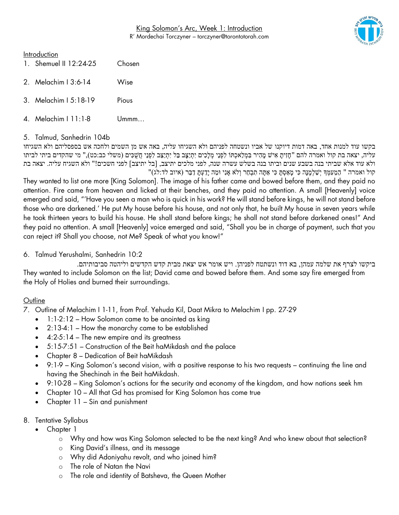King Solomon's Arc, Week 1: Introduction R' Mordechai Torczyner – torczyner@torontotorah.com



#### **Introduction**

| 1. Shemuel II 12:24-25 | Chosen |
|------------------------|--------|
| 2. Melachim   3:6-14   | Wise   |
| 3. Melachim   5:18-19  | Pious  |
| 4. Melachim   11:1-8   | l Jmmm |

#### 5. Talmud, Sanhedrin 104b

בקשו עוד למנות אחד, באה דמות דיוקנו של אביו ונשטחה לפניהם ולא השגיחו עליה, באה אש מן השמים ולחכה אש בספסליהם ולא השגיחו עליה, יצאה בת קול ואמרה להם "חָזִיתָ אִישׁ מָהִיר בִּמְלַאכְתּוֹ לִפְנֵי מְלָכִים יִתְיַצָּב בַל יִתְיַצֵּב לִפְנֵי חֲשָׁכִּים (משלי כב:כט)," מי שהקדים ביתי לביתו ולא עוד אלא שביתי בנה בשבע שנים וביתו בנה בשלש עשרה שנה, לפני מלכים יתיצב, ]בל יתיצב[ לפני חשכים!" ולא השגיח עליה. יצאה בת " הַמֵּעְמָּךְ יִשַׁלְמֵנָּה כִּי מַאַסְתָּ כִּי אַתָּה תִבְחַר וְלֹא אָנִי וּמַה יָדַעְתַּ דַבֵּר (איוב לד:לג)

They wanted to list one more [King Solomon]. The image of his father came and bowed before them, and they paid no attention. Fire came from heaven and licked at their benches, and they paid no attention. A small [Heavenly] voice emerged and said, "'Have you seen a man who is quick in his work? He will stand before kings, he will not stand before those who are darkened.' He put My house before his house, and not only that, he built My house in seven years while he took thirteen years to build his house. He shall stand before kings; he shall not stand before darkened ones!" And they paid no attention. A small [Heavenly] voice emerged and said, "Shall you be in charge of payment, such that you can reject it? Shall you choose, not Me? Speak of what you know!"

#### 6. Talmud Yerushalmi, Sanhedrin 10:2

ביקשו לצרף את שלמה עמהן, בא דוד ונשתטח לפניהן. ויש אומר אש יצאת מבית קדש הקדשים וליהטה סביבותיהם. They wanted to include Solomon on the list; David came and bowed before them. And some say fire emerged from the Holy of Holies and burned their surroundings.

# **Outline**

7. Outline of Melachim I 1-11, from Prof. Yehuda Kil, Daat Mikra to Melachim I pp. 27-29

- 1:1-2:12 How Solomon came to be anointed as king
- 2:13-4:1 How the monarchy came to be established
- $\bullet$  4:2-5:14 The new empire and its greatness
- 5:15-7:51 Construction of the Beit haMikdash and the palace
- Chapter 8 Dedication of Beit haMikdash
- 9:1-9 King Solomon's second vision, with a positive response to his two requests continuing the line and having the Shechinah in the Beit haMikdash.
- 9:10-28 King Solomon's actions for the security and economy of the kingdom, and how nations seek hm
- Chapter 10 All that Gd has promised for King Solomon has come true
- Chapter 11 Sin and punishment
- 8. Tentative Syllabus
	- Chapter 1
		- o Why and how was King Solomon selected to be the next king? And who knew about that selection?
		- o King David's illness, and its message
		- o Why did Adoniyahu revolt, and who joined him?
		- o The role of Natan the Navi
		- o The role and identity of Batsheva, the Queen Mother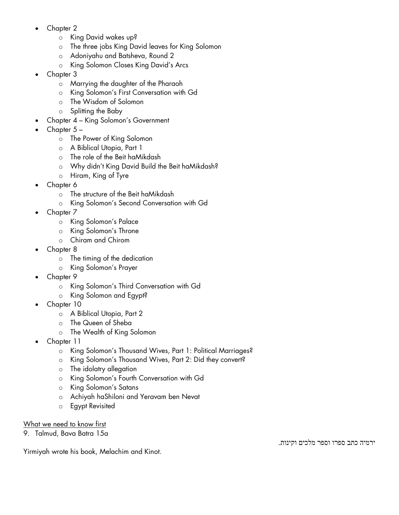- Chapter 2
	- o King David wakes up?
	- o The three jobs King David leaves for King Solomon
	- o Adoniyahu and Batsheva, Round 2
	- o King Solomon Closes King David's Arcs
- Chapter 3
	- o Marrying the daughter of the Pharaoh
	- o King Solomon's First Conversation with Gd
	- o The Wisdom of Solomon
	- o Splitting the Baby
- Chapter 4 King Solomon's Government
- Chapter 5
	- o The Power of King Solomon
	- o A Biblical Utopia, Part 1
	- o The role of the Beit haMikdash
	- o Why didn't King David Build the Beit haMikdash?
	- o Hiram, King of Tyre
- Chapter 6
	- o The structure of the Beit haMikdash
	- o King Solomon's Second Conversation with Gd
- Chapter 7
	- o King Solomon's Palace
	- o King Solomon's Throne
	- o Chiram and Chirom
- Chapter 8
	- o The timing of the dedication
	- o King Solomon's Prayer
- Chapter 9
	- o King Solomon's Third Conversation with Gd
	- o King Solomon and Egypt?
- Chapter 10
	- o A Biblical Utopia, Part 2
	- o The Queen of Sheba
	- o The Wealth of King Solomon
- Chapter 11
	- o King Solomon's Thousand Wives, Part 1: Political Marriages?
	- o King Solomon's Thousand Wives, Part 2: Did they convert?
	- o The idolatry allegation
	- o King Solomon's Fourth Conversation with Gd
	- o King Solomon's Satans
	- o Achiyah haShiloni and Yeravam ben Nevat
	- o Egypt Revisited

# What we need to know first

9. Talmud, Bava Batra 15a

Yirmiyah wrote his book, Melachim and Kinot.

ירמיה כתב ספרו וספר מלכים וקינות.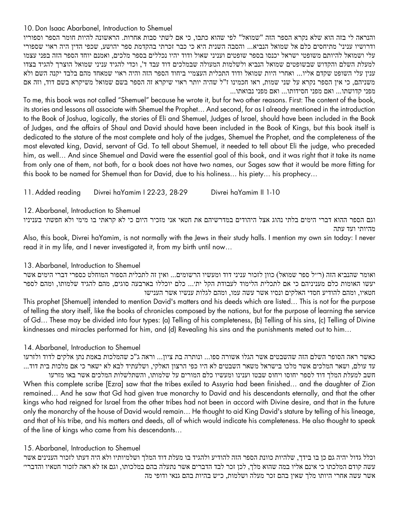#### 10.Don Isaac Abarbanel, Introduction to Shemuel

והנראה לי בזה הוא שלא נקרא הספר הזה "שמואל" לפי שהוא כתבו, כי אם לשתי סבות אחרות. הראשונה להיות חומר הספר וספוריו ודרושיו עניני' מתיחסים כלם אל שמואל הנביא... והסבה השנית היא כי כבר זכרתי בהקדמת ספר יהושע, שכפי הדין היה ראוי שספורי עלי ושמואל להיותם משופטי ישראל יכנסו בספר שופטים ועניני שאול ודוד יהיו נכללים בספר מלכים, ואמנם יוחד הספר הזה בפני עצמו למעלת השלם והקדוש שבשופטים שמואל הנביא ולשלמות המעולה שבמלכים דוד עבד ד', וכדי להגיד עניני שמואל הוצרך להגיד בצדו ענין עלי השופט שקדם אליו... ואחרי היות שמואל ודוד התכלית העצמיי ביחוד הספר הזה והיה ראוי שמאחד מהם בלבד יקנה השם ולא משניהם, כי אין הספר נקרא על שני שמות, ראו חכמינו ז"ל שהיה יותר ראוי שיקרא זה הספר בשם שמואל משיקרא בשם דוד, וזה אם מפני קדושתו... ואם מפני חסידותו... ואם מפני נבואתו...

To me, this book was not called "Shemuel" because he wrote it, but for two other reasons. First: The content of the book, its stories and lessons all associate with Shemuel the Prophet… And second, for as I already mentioned in the introduction to the Book of Joshua, logically, the stories of Eli and Shemuel, Judges of Israel, should have been included in the Book of Judges, and the affairs of Shaul and David should have been included in the Book of Kings, but this book itself is dedicated to the stature of the most complete and holy of the judges, Shemuel the Prophet, and the completeness of the most elevated king, David, servant of Gd. To tell about Shemuel, it needed to tell about Eli the judge, who preceded him, as well… And since Shemuel and David were the essential goal of this book, and it was right that it take its name from only one of them, not both, for a book does not have two names, our Sages saw that it would be more fitting for this book to be named for Shemuel than for David, due to his holiness… his piety… his prophecy…

11.Added reading Divrei haYamim I 22-23, 28-29 Divrei haYamim II 1-10

12.Abarbanel, Introduction to Shemuel

וגם הספר ההוא דברי הימים בלתי נהוג אצל היהודים במדרשיהם את חטאי אני מזכיר היום כי לא קראתי בו מימי ולא חפשתי בעניניו מהיותי ועד עתה

Also, this book, Divrei haYamim, is not normally with the Jews in their study halls. I mention my own sin today: I never read it in my life, and I never investigated it, from my birth until now…

# 13.Abarbanel, Introduction to Shemuel

ואומר שהנביא הזה (ר׳׳ל ספר שמואל) כוון לזכור עניני דוד ומעשיו הרשומים... ואין זה לתכלית הספור המוחלט כספרי דברי הימים אשר יעשו האומות כלם מעניניהם כי אם לתכלית הלימוד לעבודת הקל ית׳... כלם יוכללו בארבעה סוגים, מהם להגיד שלמותו, ומהם לספר חטאיו, ומהם להודיע חסדי האלקים ונסיו אשר עשה עמו, ומהם לגלות ענשיו אשר הענ ישו This prophet [Shemuel] intended to mention David's matters and his deeds which are listed… This is not for the purpose of telling the story itself, like the books of chronicles composed by the nations, but for the purpose of learning the service of Gd… These may be divided into four types: (a) Telling of his completeness, (b) Telling of his sins, (c) Telling of Divine kindnesses and miracles performed for him, and (d) Revealing his sins and the punishments meted out to him…

# 14.Abarbanel, Introduction to Shemuel

כאשר ראה הסופר השלם הזה שהשבטים אשר הגלו אשורה ספו... ונותרה בת ציון... וראה ג"כ שהמלכות באמת נתן אלקים לדוד ולזרעו עד עולם, ושאר המלכים אשר מלכו בישראל משאר השבטים לא היו כפי הרצון האלקי, ושלעתיד לבא לא ישאר כי אם מלכות בית דוד... חשב למעלת המלך דוד לספר יחוסו ויחוס שבטו וענינו ומעשיו כלם המורים על שלמותו, והשתלשלות המלכים אשר באו מזרעו When this complete scribe [Ezra] saw that the tribes exiled to Assyria had been finished… and the daughter of Zion remained… And he saw that Gd had given true monarchy to David and his descendants eternally, and that the other kings who had reigned for Israel from the other tribes had not been in accord with Divine desire, and that in the future only the monarchy of the house of David would remain… He thought to aid King David's stature by telling of his lineage, and that of his tribe, and his matters and deeds, all of which would indicate his completeness. He also thought to speak of the line of kings who came from his descendants…

# 15.Abarbanel, Introduction to Shemuel

וכלל גדול יהיה גם כן בו בידך, שלהיות כוונת הספר הזה להודיע ולהגיד בו מעלת דוד המלך ושלמיותיו ולא היה דעתו לזכור הענינים אשר עשה קודם המלכתו כי אינם אליו במה שהוא מלך, לכן זכר לבד הדברים אשר נתעלה בהם במלכותו, וגם אז לא ראה לזכור חטאיו והדברי׳ אשר עשה אחרי היותו מלך שאין בהם זכר מעלה ושלמות, כ״ש בהיות בהם גנאי ודופי מה